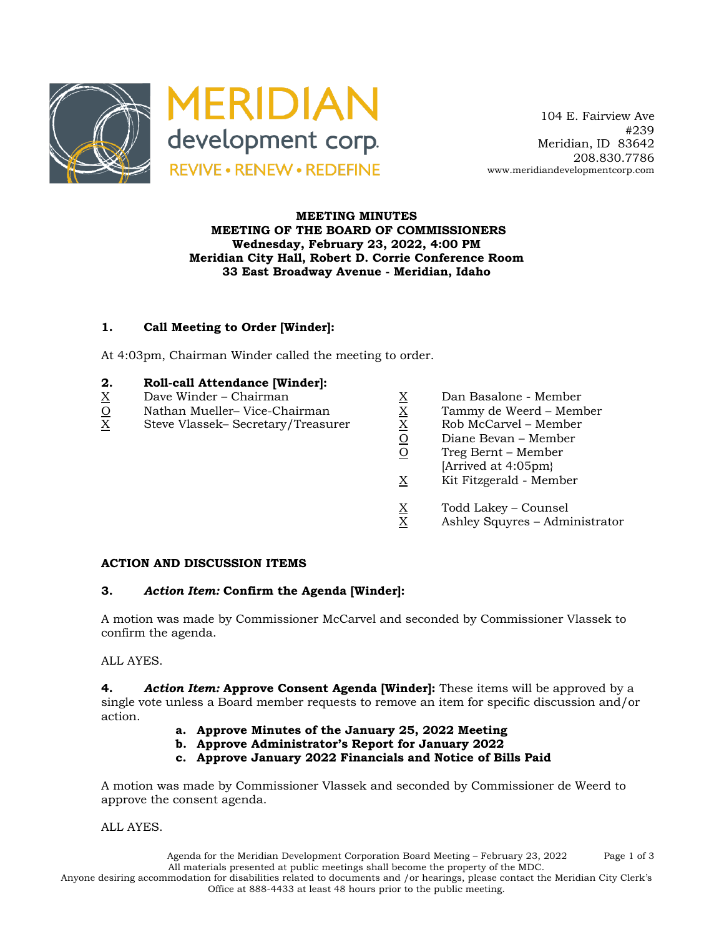

 104 E. Fairview Ave #239 Meridian, ID 83642 208.830.7786 www.meridiandevelopmentcorp.com

### **MEETING MINUTES MEETING OF THE BOARD OF COMMISSIONERS Wednesday, February 23, 2022, 4:00 PM Meridian City Hall, Robert D. Corrie Conference Room 33 East Broadway Avenue - Meridian, Idaho**

# **1. Call Meeting to Order [Winder]:**

At 4:03pm, Chairman Winder called the meeting to order.

#### **2. Roll-call Attendance [Winder]:**

- 
- $\frac{Q}{X}$  Nathan Mueller– Vice-Chairman  $\frac{X}{X}$  Tammy de Weerd Member<br>X Steve Vlassek– Secretary/Treasurer  $\frac{X}{X}$  Rob McCarvel Member
- $\begin{array}{lll} \underline{X} & \text{Dave Winder} \text{Chairman} & \underline{X} & \text{Dan Basalone Member} \\ \underline{O} & \text{Mathan Mueller} \text{Vice-Chairman} & \underline{X} & \text{Tammy de Weerd Memb. \\ \underline{X} & \text{Steve Vlassek} \text{Secretary/Treasure} & \underline{X} & \text{Rob McCarvel Member} \\ \underline{O} & \text{Diane Bevan Member} \end{array}$ Steve Vlassek– Secretary/Treasurer
- -
	-
	- $\frac{O}{O}$  Diane Bevan Member<br>O Treg Bernt Member
	- Treg Bernt Member
	- [Arrived at 4:05pm}
	- X Kit Fitzgerald Member
	- $\frac{X}{X}$  Todd Lakey Counsel<br>X Ashley Squyres Adm
	- Ashley Squyres Administrator

#### **ACTION AND DISCUSSION ITEMS**

#### **3.** *Action Item:* **Confirm the Agenda [Winder]:**

A motion was made by Commissioner McCarvel and seconded by Commissioner Vlassek to confirm the agenda.

ALL AYES.

**4.** *Action Item:* **Approve Consent Agenda [Winder]:** These items will be approved by a single vote unless a Board member requests to remove an item for specific discussion and/or action.

- **a. Approve Minutes of the January 25, 2022 Meeting**
- **b. Approve Administrator's Report for January 2022**
- **c. Approve January 2022 Financials and Notice of Bills Paid**

A motion was made by Commissioner Vlassek and seconded by Commissioner de Weerd to approve the consent agenda.

ALL AYES.

Agenda for the Meridian Development Corporation Board Meeting – February 23, 2022 Page 1 of 3 All materials presented at public meetings shall become the property of the MDC. Anyone desiring accommodation for disabilities related to documents and /or hearings, please contact the Meridian City Clerk's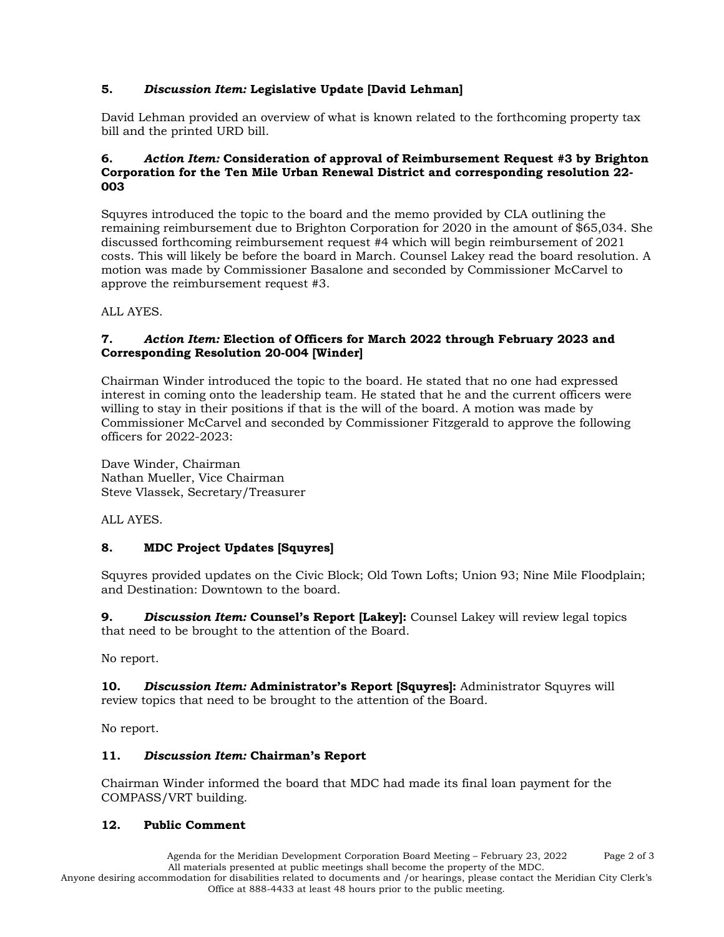# **5.** *Discussion Item:* **Legislative Update [David Lehman]**

David Lehman provided an overview of what is known related to the forthcoming property tax bill and the printed URD bill.

### **6.** *Action Item:* **Consideration of approval of Reimbursement Request #3 by Brighton Corporation for the Ten Mile Urban Renewal District and corresponding resolution 22- 003**

Squyres introduced the topic to the board and the memo provided by CLA outlining the remaining reimbursement due to Brighton Corporation for 2020 in the amount of \$65,034. She discussed forthcoming reimbursement request #4 which will begin reimbursement of 2021 costs. This will likely be before the board in March. Counsel Lakey read the board resolution. A motion was made by Commissioner Basalone and seconded by Commissioner McCarvel to approve the reimbursement request #3.

ALL AYES.

# **7.** *Action Item:* **Election of Officers for March 2022 through February 2023 and Corresponding Resolution 20-004 [Winder]**

Chairman Winder introduced the topic to the board. He stated that no one had expressed interest in coming onto the leadership team. He stated that he and the current officers were willing to stay in their positions if that is the will of the board. A motion was made by Commissioner McCarvel and seconded by Commissioner Fitzgerald to approve the following officers for 2022-2023:

Dave Winder, Chairman Nathan Mueller, Vice Chairman Steve Vlassek, Secretary/Treasurer

ALL AYES.

# **8. MDC Project Updates [Squyres]**

Squyres provided updates on the Civic Block; Old Town Lofts; Union 93; Nine Mile Floodplain; and Destination: Downtown to the board.

**9.** *Discussion Item:* **Counsel's Report [Lakey]:** Counsel Lakey will review legal topics that need to be brought to the attention of the Board.

No report.

**10.** *Discussion Item:* **Administrator's Report [Squyres]:** Administrator Squyres will review topics that need to be brought to the attention of the Board.

No report.

# **11.** *Discussion Item:* **Chairman's Report**

Chairman Winder informed the board that MDC had made its final loan payment for the COMPASS/VRT building.

# **12. Public Comment**

Agenda for the Meridian Development Corporation Board Meeting – February 23, 2022 Page 2 of 3 All materials presented at public meetings shall become the property of the MDC. Anyone desiring accommodation for disabilities related to documents and /or hearings, please contact the Meridian City Clerk's